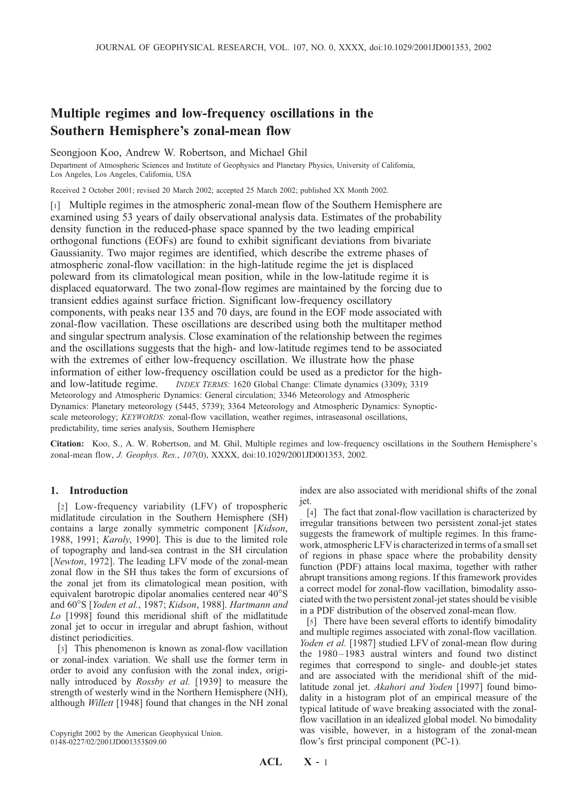# Multiple regimes and low-frequency oscillations in the Southern Hemisphere's zonal-mean flow

Seongjoon Koo, Andrew W. Robertson, and Michael Ghil

Department of Atmospheric Sciences and Institute of Geophysics and Planetary Physics, University of California, Los Angeles, Los Angeles, California, USA

Received 2 October 2001; revised 20 March 2002; accepted 25 March 2002; published XX Month 2002.

[1] Multiple regimes in the atmospheric zonal-mean flow of the Southern Hemisphere are examined using 53 years of daily observational analysis data. Estimates of the probability density function in the reduced-phase space spanned by the two leading empirical orthogonal functions (EOFs) are found to exhibit significant deviations from bivariate Gaussianity. Two major regimes are identified, which describe the extreme phases of atmospheric zonal-flow vacillation: in the high-latitude regime the jet is displaced poleward from its climatological mean position, while in the low-latitude regime it is displaced equatorward. The two zonal-flow regimes are maintained by the forcing due to transient eddies against surface friction. Significant low-frequency oscillatory components, with peaks near 135 and 70 days, are found in the EOF mode associated with zonal-flow vacillation. These oscillations are described using both the multitaper method and singular spectrum analysis. Close examination of the relationship between the regimes and the oscillations suggests that the high- and low-latitude regimes tend to be associated with the extremes of either low-frequency oscillation. We illustrate how the phase information of either low-frequency oscillation could be used as a predictor for the highand low-latitude regime. INDEX TERMS: 1620 Global Change: Climate dynamics (3309); 3319 Meteorology and Atmospheric Dynamics: General circulation; 3346 Meteorology and Atmospheric Dynamics: Planetary meteorology (5445, 5739); 3364 Meteorology and Atmospheric Dynamics: Synopticscale meteorology; KEYWORDS: zonal-flow vacillation, weather regimes, intraseasonal oscillations, predictability, time series analysis, Southern Hemisphere

Citation: Koo, S., A. W. Robertson, and M. Ghil, Multiple regimes and low-frequency oscillations in the Southern Hemisphere's zonal-mean flow, J. Geophys. Res., 107(0), XXXX, doi:10.1029/2001JD001353, 2002.

### 1. Introduction

[2] Low-frequency variability (LFV) of tropospheric midlatitude circulation in the Southern Hemisphere (SH) contains a large zonally symmetric component [Kidson, 1988, 1991; Karoly, 1990]. This is due to the limited role of topography and land-sea contrast in the SH circulation [Newton, 1972]. The leading LFV mode of the zonal-mean zonal flow in the SH thus takes the form of excursions of the zonal jet from its climatological mean position, with equivalent barotropic dipolar anomalies centered near 40°S and 60°S [Yoden et al., 1987; Kidson, 1988]. Hartmann and Lo [1998] found this meridional shift of the midlatitude zonal jet to occur in irregular and abrupt fashion, without distinct periodicities.

[3] This phenomenon is known as zonal-flow vacillation or zonal-index variation. We shall use the former term in order to avoid any confusion with the zonal index, originally introduced by *Rossby et al.* [1939] to measure the strength of westerly wind in the Northern Hemisphere (NH), although Willett [1948] found that changes in the NH zonal

Copyright 2002 by the American Geophysical Union. 0148-0227/02/2001JD001353\$09.00

index are also associated with meridional shifts of the zonal jet.

[4] The fact that zonal-flow vacillation is characterized by irregular transitions between two persistent zonal-jet states suggests the framework of multiple regimes. In this framework, atmospheric LFVis characterized in terms of a small set of regions in phase space where the probability density function (PDF) attains local maxima, together with rather abrupt transitions among regions. If this framework provides a correct model for zonal-flow vacillation, bimodality associated with the two persistent zonal-jet states should be visible in a PDF distribution of the observed zonal-mean flow.

[5] There have been several efforts to identify bimodality and multiple regimes associated with zonal-flow vacillation. Yoden et al. [1987] studied LFV of zonal-mean flow during the 1980–1983 austral winters and found two distinct regimes that correspond to single- and double-jet states and are associated with the meridional shift of the midlatitude zonal jet. Akahori and Yoden [1997] found bimodality in a histogram plot of an empirical measure of the typical latitude of wave breaking associated with the zonalflow vacillation in an idealized global model. No bimodality was visible, however, in a histogram of the zonal-mean flow's first principal component (PC-1).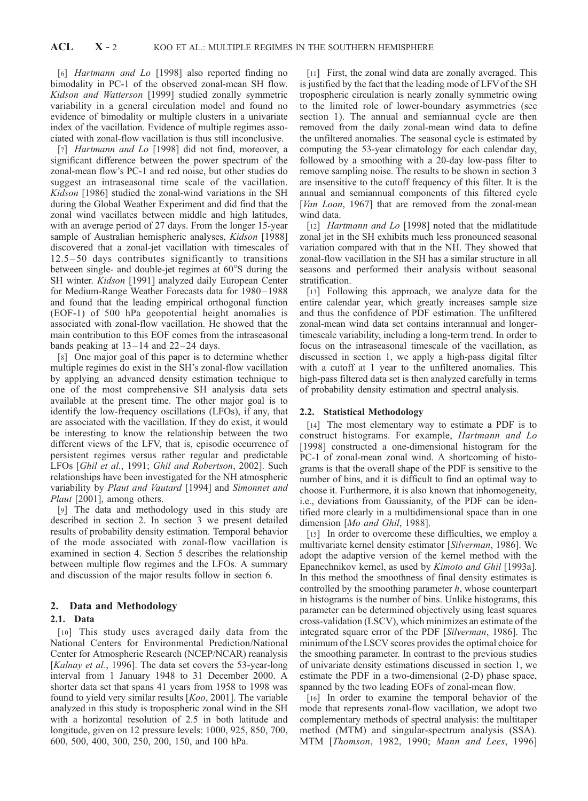[6] *Hartmann and Lo* [1998] also reported finding no bimodality in PC-1 of the observed zonal-mean SH flow. Kidson and Watterson [1999] studied zonally symmetric variability in a general circulation model and found no evidence of bimodality or multiple clusters in a univariate index of the vacillation. Evidence of multiple regimes associated with zonal-flow vacillation is thus still inconclusive.

[7] Hartmann and Lo [1998] did not find, moreover, a significant difference between the power spectrum of the zonal-mean flow's PC-1 and red noise, but other studies do suggest an intraseasonal time scale of the vacillation. Kidson [1986] studied the zonal-wind variations in the SH during the Global Weather Experiment and did find that the zonal wind vacillates between middle and high latitudes, with an average period of 27 days. From the longer 15-year sample of Australian hemispheric analyses, Kidson [1988] discovered that a zonal-jet vacillation with timescales of 12.5– 50 days contributes significantly to transitions between single- and double-jet regimes at  $60^{\circ}$ S during the SH winter. Kidson [1991] analyzed daily European Center for Medium-Range Weather Forecasts data for 1980 – 1988 and found that the leading empirical orthogonal function (EOF-1) of 500 hPa geopotential height anomalies is associated with zonal-flow vacillation. He showed that the main contribution to this EOF comes from the intraseasonal bands peaking at  $13-14$  and  $22-24$  days.

[8] One major goal of this paper is to determine whether multiple regimes do exist in the SH's zonal-flow vacillation by applying an advanced density estimation technique to one of the most comprehensive SH analysis data sets available at the present time. The other major goal is to identify the low-frequency oscillations (LFOs), if any, that are associated with the vacillation. If they do exist, it would be interesting to know the relationship between the two different views of the LFV, that is, episodic occurrence of persistent regimes versus rather regular and predictable LFOs [Ghil et al., 1991; Ghil and Robertson, 2002]. Such relationships have been investigated for the NH atmospheric variability by Plaut and Vautard [1994] and Simonnet and Plaut [2001], among others.

[9] The data and methodology used in this study are described in section 2. In section 3 we present detailed results of probability density estimation. Temporal behavior of the mode associated with zonal-flow vacillation is examined in section 4. Section 5 describes the relationship between multiple flow regimes and the LFOs. A summary and discussion of the major results follow in section 6.

# 2. Data and Methodology

## 2.1. Data

[10] This study uses averaged daily data from the National Centers for Environmental Prediction/National Center for Atmospheric Research (NCEP/NCAR) reanalysis [Kalnay et al., 1996]. The data set covers the 53-year-long interval from 1 January 1948 to 31 December 2000. A shorter data set that spans 41 years from 1958 to 1998 was found to yield very similar results  $[Koo, 2001]$ . The variable analyzed in this study is tropospheric zonal wind in the SH with a horizontal resolution of 2.5 in both latitude and longitude, given on 12 pressure levels: 1000, 925, 850, 700, 600, 500, 400, 300, 250, 200, 150, and 100 hPa.

[11] First, the zonal wind data are zonally averaged. This is justified by the fact that the leading mode of LFVof the SH tropospheric circulation is nearly zonally symmetric owing to the limited role of lower-boundary asymmetries (see section 1). The annual and semiannual cycle are then removed from the daily zonal-mean wind data to define the unfiltered anomalies. The seasonal cycle is estimated by computing the 53-year climatology for each calendar day, followed by a smoothing with a 20-day low-pass filter to remove sampling noise. The results to be shown in section 3 are insensitive to the cutoff frequency of this filter. It is the annual and semiannual components of this filtered cycle [Van Loon, 1967] that are removed from the zonal-mean wind data.

[12] *Hartmann and Lo* [1998] noted that the midlatitude zonal jet in the SH exhibits much less pronounced seasonal variation compared with that in the NH. They showed that zonal-flow vacillation in the SH has a similar structure in all seasons and performed their analysis without seasonal stratification.

[13] Following this approach, we analyze data for the entire calendar year, which greatly increases sample size and thus the confidence of PDF estimation. The unfiltered zonal-mean wind data set contains interannual and longertimescale variability, including a long-term trend. In order to focus on the intraseasonal timescale of the vacillation, as discussed in section 1, we apply a high-pass digital filter with a cutoff at 1 year to the unfiltered anomalies. This high-pass filtered data set is then analyzed carefully in terms of probability density estimation and spectral analysis.

#### 2.2. Statistical Methodology

[14] The most elementary way to estimate a PDF is to construct histograms. For example, Hartmann and Lo [1998] constructed a one-dimensional histogram for the PC-1 of zonal-mean zonal wind. A shortcoming of histograms is that the overall shape of the PDF is sensitive to the number of bins, and it is difficult to find an optimal way to choose it. Furthermore, it is also known that inhomogeneity, i.e., deviations from Gaussianity, of the PDF can be identified more clearly in a multidimensional space than in one dimension [Mo and Ghil, 1988].

[15] In order to overcome these difficulties, we employ a multivariate kernel density estimator [Silverman, 1986]. We adopt the adaptive version of the kernel method with the Epanechnikov kernel, as used by Kimoto and Ghil [1993a]. In this method the smoothness of final density estimates is controlled by the smoothing parameter  $h$ , whose counterpart in histograms is the number of bins. Unlike histograms, this parameter can be determined objectively using least squares cross-validation (LSCV), which minimizes an estimate of the integrated square error of the PDF [Silverman, 1986]. The minimum of the LSCV scores provides the optimal choice for the smoothing parameter. In contrast to the previous studies of univariate density estimations discussed in section 1, we estimate the PDF in a two-dimensional (2-D) phase space, spanned by the two leading EOFs of zonal-mean flow.

[16] In order to examine the temporal behavior of the mode that represents zonal-flow vacillation, we adopt two complementary methods of spectral analysis: the multitaper method (MTM) and singular-spectrum analysis (SSA). MTM [Thomson, 1982, 1990; Mann and Lees, 1996]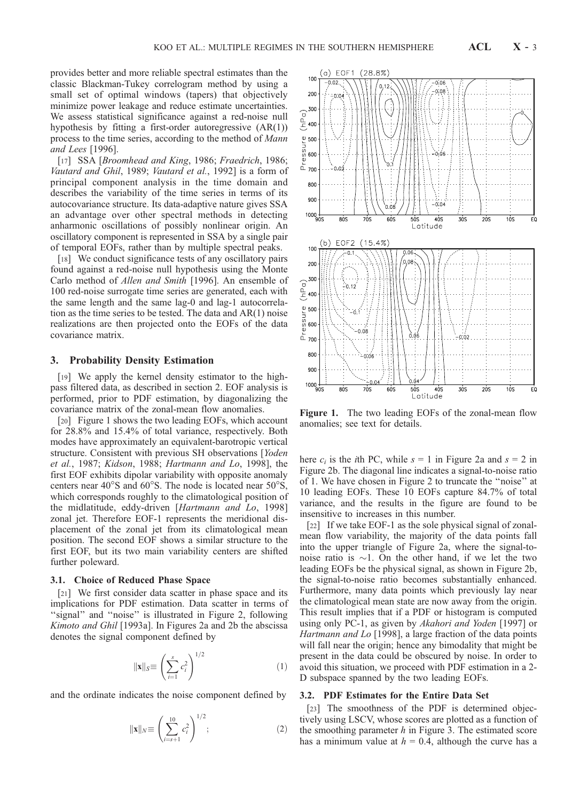provides better and more reliable spectral estimates than the classic Blackman-Tukey correlogram method by using a small set of optimal windows (tapers) that objectively minimize power leakage and reduce estimate uncertainties. We assess statistical significance against a red-noise null hypothesis by fitting a first-order autoregressive (AR(1)) process to the time series, according to the method of Mann and Lees [1996].

[17] SSA [Broomhead and King, 1986; Fraedrich, 1986; Vautard and Ghil, 1989; Vautard et al., 1992] is a form of principal component analysis in the time domain and describes the variability of the time series in terms of its autocovariance structure. Its data-adaptive nature gives SSA an advantage over other spectral methods in detecting anharmonic oscillations of possibly nonlinear origin. An oscillatory component is represented in SSA by a single pair of temporal EOFs, rather than by multiple spectral peaks.

[18] We conduct significance tests of any oscillatory pairs found against a red-noise null hypothesis using the Monte Carlo method of Allen and Smith [1996]. An ensemble of 100 red-noise surrogate time series are generated, each with the same length and the same lag-0 and lag-1 autocorrelation as the time series to be tested. The data and AR(1) noise realizations are then projected onto the EOFs of the data covariance matrix.

## 3. Probability Density Estimation

[19] We apply the kernel density estimator to the highpass filtered data, as described in section 2. EOF analysis is performed, prior to PDF estimation, by diagonalizing the covariance matrix of the zonal-mean flow anomalies.

[20] Figure 1 shows the two leading EOFs, which account for 28.8% and 15.4% of total variance, respectively. Both modes have approximately an equivalent-barotropic vertical structure. Consistent with previous SH observations [Yoden] et al., 1987; Kidson, 1988; Hartmann and Lo, 1998], the first EOF exhibits dipolar variability with opposite anomaly centers near  $40^{\circ}$ S and  $60^{\circ}$ S. The node is located near  $50^{\circ}$ S, which corresponds roughly to the climatological position of the midlatitude, eddy-driven [Hartmann and Lo, 1998] zonal jet. Therefore EOF-1 represents the meridional displacement of the zonal jet from its climatological mean position. The second EOF shows a similar structure to the first EOF, but its two main variability centers are shifted further poleward.

#### 3.1. Choice of Reduced Phase Space

[21] We first consider data scatter in phase space and its implications for PDF estimation. Data scatter in terms of "signal" and "noise" is illustrated in Figure 2, following Kimoto and Ghil [1993a]. In Figures 2a and 2b the abscissa denotes the signal component defined by

$$
\|\mathbf{x}\|_{S} \equiv \left(\sum_{i=1}^{s} c_i^2\right)^{1/2} \tag{1}
$$

and the ordinate indicates the noise component defined by

$$
\|\mathbf{x}\|_{N} \equiv \left(\sum_{i=s+1}^{10} c_i^2\right)^{1/2};\tag{2}
$$



Figure 1. The two leading EOFs of the zonal-mean flow anomalies; see text for details.

here  $c_i$  is the *i*th PC, while  $s = 1$  in Figure 2a and  $s = 2$  in Figure 2b. The diagonal line indicates a signal-to-noise ratio of 1. We have chosen in Figure 2 to truncate the ''noise'' at 10 leading EOFs. These 10 EOFs capture 84.7% of total variance, and the results in the figure are found to be insensitive to increases in this number.

[22] If we take EOF-1 as the sole physical signal of zonalmean flow variability, the majority of the data points fall into the upper triangle of Figure 2a, where the signal-tonoise ratio is  $\sim$ 1. On the other hand, if we let the two leading EOFs be the physical signal, as shown in Figure 2b, the signal-to-noise ratio becomes substantially enhanced. Furthermore, many data points which previously lay near the climatological mean state are now away from the origin. This result implies that if a PDF or histogram is computed using only PC-1, as given by Akahori and Yoden [1997] or Hartmann and Lo [1998], a large fraction of the data points will fall near the origin; hence any bimodality that might be present in the data could be obscured by noise. In order to avoid this situation, we proceed with PDF estimation in a 2- D subspace spanned by the two leading EOFs.

#### 3.2. PDF Estimates for the Entire Data Set

[23] The smoothness of the PDF is determined objectively using LSCV, whose scores are plotted as a function of the smoothing parameter  $h$  in Figure 3. The estimated score has a minimum value at  $h = 0.4$ , although the curve has a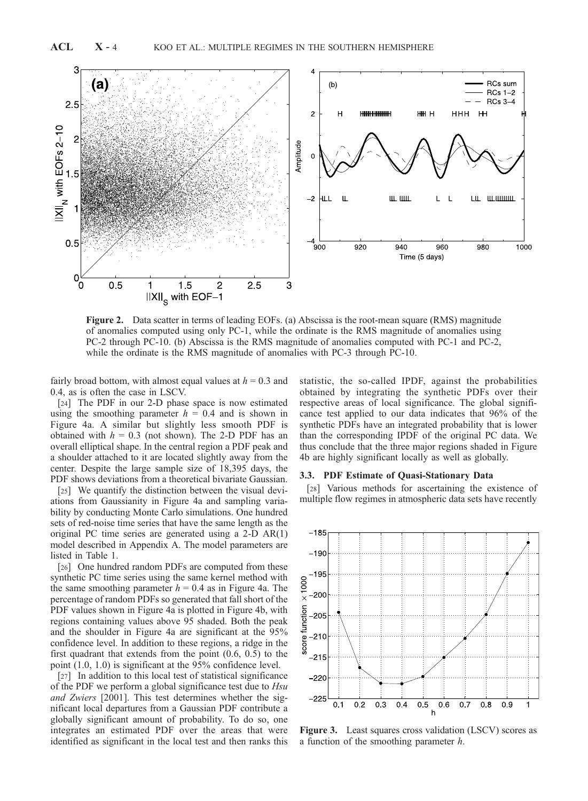

Figure 2. Data scatter in terms of leading EOFs. (a) Abscissa is the root-mean square (RMS) magnitude of anomalies computed using only PC-1, while the ordinate is the RMS magnitude of anomalies using PC-2 through PC-10. (b) Abscissa is the RMS magnitude of anomalies computed with PC-1 and PC-2, while the ordinate is the RMS magnitude of anomalies with PC-3 through PC-10.

fairly broad bottom, with almost equal values at  $h = 0.3$  and 0.4, as is often the case in LSCV.

[24] The PDF in our 2-D phase space is now estimated using the smoothing parameter  $h = 0.4$  and is shown in Figure 4a. A similar but slightly less smooth PDF is obtained with  $h = 0.3$  (not shown). The 2-D PDF has an overall elliptical shape. In the central region a PDF peak and a shoulder attached to it are located slightly away from the center. Despite the large sample size of 18,395 days, the PDF shows deviations from a theoretical bivariate Gaussian.

[25] We quantify the distinction between the visual deviations from Gaussianity in Figure 4a and sampling variability by conducting Monte Carlo simulations. One hundred sets of red-noise time series that have the same length as the original PC time series are generated using a 2-D AR(1) model described in Appendix A. The model parameters are listed in Table 1.

[26] One hundred random PDFs are computed from these synthetic PC time series using the same kernel method with the same smoothing parameter  $h = 0.4$  as in Figure 4a. The percentage of random PDFs so generated that fall short of the PDF values shown in Figure 4a is plotted in Figure 4b, with regions containing values above 95 shaded. Both the peak and the shoulder in Figure 4a are significant at the 95% confidence level. In addition to these regions, a ridge in the first quadrant that extends from the point (0.6, 0.5) to the point (1.0, 1.0) is significant at the 95% confidence level.

[27] In addition to this local test of statistical significance of the PDF we perform a global significance test due to Hsu and Zwiers [2001]. This test determines whether the significant local departures from a Gaussian PDF contribute a globally significant amount of probability. To do so, one integrates an estimated PDF over the areas that were identified as significant in the local test and then ranks this statistic, the so-called IPDF, against the probabilities obtained by integrating the synthetic PDFs over their respective areas of local significance. The global significance test applied to our data indicates that 96% of the synthetic PDFs have an integrated probability that is lower than the corresponding IPDF of the original PC data. We thus conclude that the three major regions shaded in Figure 4b are highly significant locally as well as globally.

## 3.3. PDF Estimate of Quasi-Stationary Data

[28] Various methods for ascertaining the existence of multiple flow regimes in atmospheric data sets have recently



Figure 3. Least squares cross validation (LSCV) scores as a function of the smoothing parameter h.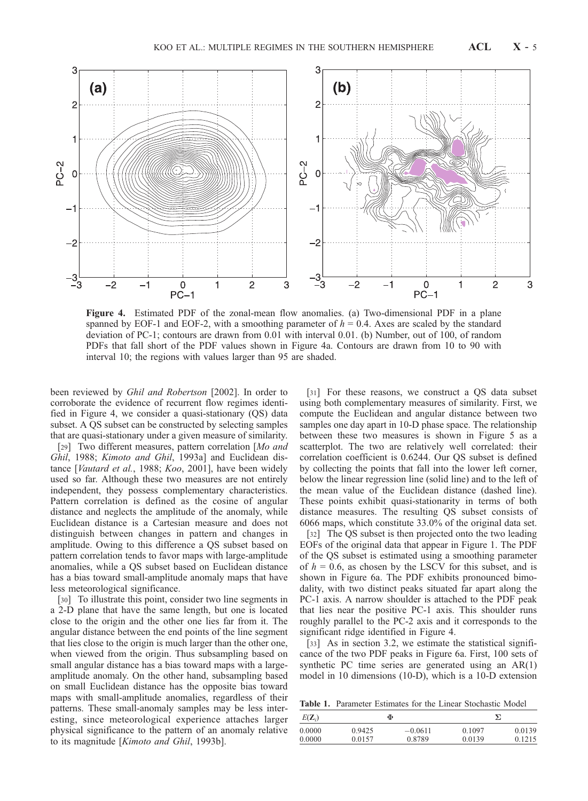

Figure 4. Estimated PDF of the zonal-mean flow anomalies. (a) Two-dimensional PDF in a plane spanned by EOF-1 and EOF-2, with a smoothing parameter of  $h = 0.4$ . Axes are scaled by the standard deviation of PC-1; contours are drawn from 0.01 with interval 0.01. (b) Number, out of 100, of random PDFs that fall short of the PDF values shown in Figure 4a. Contours are drawn from 10 to 90 with interval 10; the regions with values larger than 95 are shaded.

been reviewed by Ghil and Robertson [2002]. In order to corroborate the evidence of recurrent flow regimes identified in Figure 4, we consider a quasi-stationary (QS) data subset. A QS subset can be constructed by selecting samples that are quasi-stationary under a given measure of similarity.

[29] Two different measures, pattern correlation [Mo and Ghil, 1988; Kimoto and Ghil, 1993a] and Euclidean distance [Vautard et al., 1988; Koo, 2001], have been widely used so far. Although these two measures are not entirely independent, they possess complementary characteristics. Pattern correlation is defined as the cosine of angular distance and neglects the amplitude of the anomaly, while Euclidean distance is a Cartesian measure and does not distinguish between changes in pattern and changes in amplitude. Owing to this difference a QS subset based on pattern correlation tends to favor maps with large-amplitude anomalies, while a QS subset based on Euclidean distance has a bias toward small-amplitude anomaly maps that have less meteorological significance.

[30] To illustrate this point, consider two line segments in a 2-D plane that have the same length, but one is located close to the origin and the other one lies far from it. The angular distance between the end points of the line segment that lies close to the origin is much larger than the other one, when viewed from the origin. Thus subsampling based on small angular distance has a bias toward maps with a largeamplitude anomaly. On the other hand, subsampling based on small Euclidean distance has the opposite bias toward maps with small-amplitude anomalies, regardless of their patterns. These small-anomaly samples may be less interesting, since meteorological experience attaches larger physical significance to the pattern of an anomaly relative to its magnitude [Kimoto and Ghil, 1993b].

[31] For these reasons, we construct a QS data subset using both complementary measures of similarity. First, we compute the Euclidean and angular distance between two samples one day apart in 10-D phase space. The relationship between these two measures is shown in Figure 5 as a scatterplot. The two are relatively well correlated: their correlation coefficient is 0.6244. Our QS subset is defined by collecting the points that fall into the lower left corner, below the linear regression line (solid line) and to the left of the mean value of the Euclidean distance (dashed line). These points exhibit quasi-stationarity in terms of both distance measures. The resulting QS subset consists of 6066 maps, which constitute 33.0% of the original data set.

[32] The QS subset is then projected onto the two leading EOFs of the original data that appear in Figure 1. The PDF of the QS subset is estimated using a smoothing parameter of  $h = 0.6$ , as chosen by the LSCV for this subset, and is shown in Figure 6a. The PDF exhibits pronounced bimodality, with two distinct peaks situated far apart along the PC-1 axis. A narrow shoulder is attached to the PDF peak that lies near the positive PC-1 axis. This shoulder runs roughly parallel to the PC-2 axis and it corresponds to the significant ridge identified in Figure 4.

[33] As in section 3.2, we estimate the statistical significance of the two PDF peaks in Figure 6a. First, 100 sets of synthetic PC time series are generated using an AR(1) model in 10 dimensions (10-D), which is a 10-D extension

Table 1. Parameter Estimates for the Linear Stochastic Model

| $E(\mathbf{Z}_i)$ | Ф      |           | Σ      |        |
|-------------------|--------|-----------|--------|--------|
| 0.0000            | 0.9425 | $-0.0611$ | 0.1097 | 0.0139 |
| 0.0000            | 0.0157 | 0.8789    | 0.0139 | 0.1215 |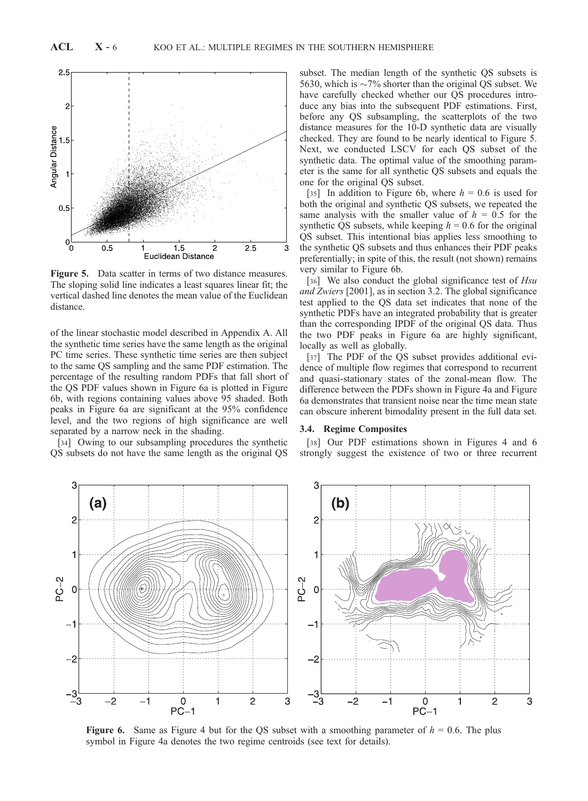

Figure 5. Data scatter in terms of two distance measures. The sloping solid line indicates a least squares linear fit; the vertical dashed line denotes the mean value of the Euclidean distance.

of the linear stochastic model described in Appendix A. All the synthetic time series have the same length as the original PC time series. These synthetic time series are then subject to the same QS sampling and the same PDF estimation. The percentage of the resulting random PDFs that fall short of the QS PDF values shown in Figure 6a is plotted in Figure 6b, with regions containing values above 95 shaded. Both peaks in Figure 6a are significant at the 95% confidence level, and the two regions of high significance are well separated by a narrow neck in the shading.

[34] Owing to our subsampling procedures the synthetic QS subsets do not have the same length as the original QS subset. The median length of the synthetic QS subsets is 5630, which is  $\sim$ 7% shorter than the original QS subset. We have carefully checked whether our QS procedures introduce any bias into the subsequent PDF estimations. First, before any QS subsampling, the scatterplots of the two distance measures for the 10-D synthetic data are visually checked. They are found to be nearly identical to Figure 5. Next, we conducted LSCV for each QS subset of the synthetic data. The optimal value of the smoothing parameter is the same for all synthetic QS subsets and equals the one for the original QS subset.

[35] In addition to Figure 6b, where  $h = 0.6$  is used for both the original and synthetic QS subsets, we repeated the same analysis with the smaller value of  $h = 0.5$  for the synthetic QS subsets, while keeping  $h = 0.6$  for the original QS subset. This intentional bias applies less smoothing to the synthetic QS subsets and thus enhances their PDF peaks preferentially; in spite of this, the result (not shown) remains very similar to Figure 6b.

[36] We also conduct the global significance test of Hsu and Zwiers [2001], as in section 3.2. The global significance test applied to the QS data set indicates that none of the synthetic PDFs have an integrated probability that is greater than the corresponding IPDF of the original QS data. Thus the two PDF peaks in Figure 6a are highly significant, locally as well as globally.

[37] The PDF of the QS subset provides additional evidence of multiple flow regimes that correspond to recurrent and quasi-stationary states of the zonal-mean flow. The difference between the PDFs shown in Figure 4a and Figure 6a demonstrates that transient noise near the time mean state can obscure inherent bimodality present in the full data set.

#### 3.4. Regime Composites

[38] Our PDF estimations shown in Figures 4 and 6 strongly suggest the existence of two or three recurrent



**Figure 6.** Same as Figure 4 but for the QS subset with a smoothing parameter of  $h = 0.6$ . The plus symbol in Figure 4a denotes the two regime centroids (see text for details).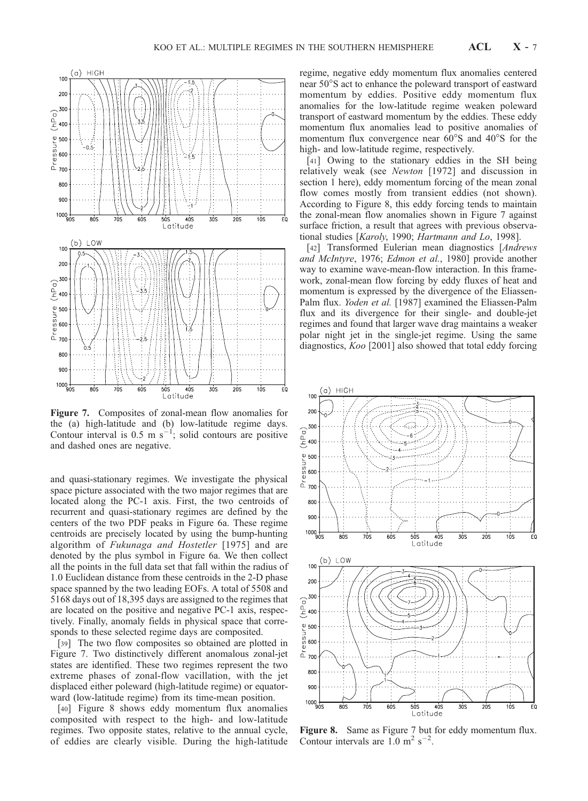

Figure 7. Composites of zonal-mean flow anomalies for the (a) high-latitude and (b) low-latitude regime days. Contour interval is 0.5 m  $s^{-1}$ ; solid contours are positive and dashed ones are negative.

and quasi-stationary regimes. We investigate the physical space picture associated with the two major regimes that are located along the PC-1 axis. First, the two centroids of recurrent and quasi-stationary regimes are defined by the centers of the two PDF peaks in Figure 6a. These regime centroids are precisely located by using the bump-hunting algorithm of Fukunaga and Hostetler [1975] and are denoted by the plus symbol in Figure 6a. We then collect all the points in the full data set that fall within the radius of 1.0 Euclidean distance from these centroids in the 2-D phase space spanned by the two leading EOFs. A total of 5508 and 5168 days out of 18,395 days are assigned to the regimes that are located on the positive and negative PC-1 axis, respectively. Finally, anomaly fields in physical space that corresponds to these selected regime days are composited.

[39] The two flow composites so obtained are plotted in Figure 7. Two distinctively different anomalous zonal-jet states are identified. These two regimes represent the two extreme phases of zonal-flow vacillation, with the jet displaced either poleward (high-latitude regime) or equatorward (low-latitude regime) from its time-mean position.

[40] Figure 8 shows eddy momentum flux anomalies composited with respect to the high- and low-latitude regimes. Two opposite states, relative to the annual cycle, of eddies are clearly visible. During the high-latitude

regime, negative eddy momentum flux anomalies centered near 50°S act to enhance the poleward transport of eastward momentum by eddies. Positive eddy momentum flux anomalies for the low-latitude regime weaken poleward transport of eastward momentum by the eddies. These eddy momentum flux anomalies lead to positive anomalies of momentum flux convergence near  $60^{\circ}$ S and  $40^{\circ}$ S for the high- and low-latitude regime, respectively.

[41] Owing to the stationary eddies in the SH being relatively weak (see Newton [1972] and discussion in section 1 here), eddy momentum forcing of the mean zonal flow comes mostly from transient eddies (not shown). According to Figure 8, this eddy forcing tends to maintain the zonal-mean flow anomalies shown in Figure 7 against surface friction, a result that agrees with previous observational studies [Karoly, 1990; Hartmann and Lo, 1998].

[42] Transformed Eulerian mean diagnostics [Andrews and McIntyre, 1976; Edmon et al., 1980] provide another way to examine wave-mean-flow interaction. In this framework, zonal-mean flow forcing by eddy fluxes of heat and momentum is expressed by the divergence of the Eliassen-Palm flux. Yoden et al. [1987] examined the Eliassen-Palm flux and its divergence for their single- and double-jet regimes and found that larger wave drag maintains a weaker polar night jet in the single-jet regime. Using the same diagnostics, Koo [2001] also showed that total eddy forcing



Figure 8. Same as Figure 7 but for eddy momentum flux. Contour intervals are  $1.0 \text{ m}^2 \text{ s}^{-2}$ .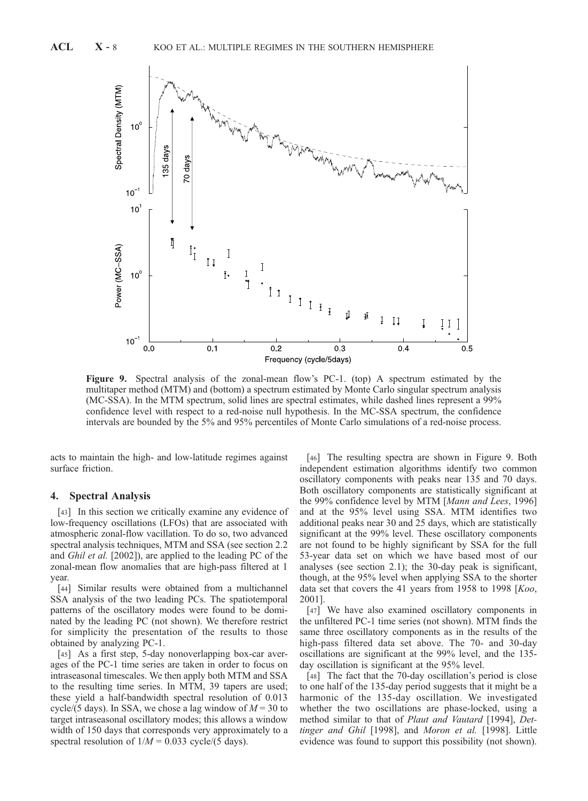

Figure 9. Spectral analysis of the zonal-mean flow's PC-1. (top) A spectrum estimated by the multitaper method (MTM) and (bottom) a spectrum estimated by Monte Carlo singular spectrum analysis (MC-SSA). In the MTM spectrum, solid lines are spectral estimates, while dashed lines represent a 99% confidence level with respect to a red-noise null hypothesis. In the MC-SSA spectrum, the confidence intervals are bounded by the 5% and 95% percentiles of Monte Carlo simulations of a red-noise process.

acts to maintain the high- and low-latitude regimes against surface friction.

## 4. Spectral Analysis

[43] In this section we critically examine any evidence of low-frequency oscillations (LFOs) that are associated with atmospheric zonal-flow vacillation. To do so, two advanced spectral analysis techniques, MTM and SSA (see section 2.2 and Ghil et al. [2002]), are applied to the leading PC of the zonal-mean flow anomalies that are high-pass filtered at 1 year.

[44] Similar results were obtained from a multichannel SSA analysis of the two leading PCs. The spatiotemporal patterns of the oscillatory modes were found to be dominated by the leading PC (not shown). We therefore restrict for simplicity the presentation of the results to those obtained by analyzing PC-1.

[45] As a first step, 5-day nonoverlapping box-car averages of the PC-1 time series are taken in order to focus on intraseasonal timescales. We then apply both MTM and SSA to the resulting time series. In MTM, 39 tapers are used; these yield a half-bandwidth spectral resolution of 0.013 cycle/(5 days). In SSA, we chose a lag window of  $M = 30$  to target intraseasonal oscillatory modes; this allows a window width of 150 days that corresponds very approximately to a spectral resolution of  $1/M = 0.033$  cycle/(5 days).

[46] The resulting spectra are shown in Figure 9. Both independent estimation algorithms identify two common oscillatory components with peaks near 135 and 70 days. Both oscillatory components are statistically significant at the 99% confidence level by MTM [Mann and Lees, 1996] and at the 95% level using SSA. MTM identifies two additional peaks near 30 and 25 days, which are statistically significant at the 99% level. These oscillatory components are not found to be highly significant by SSA for the full 53-year data set on which we have based most of our analyses (see section 2.1); the 30-day peak is significant, though, at the 95% level when applying SSA to the shorter data set that covers the 41 years from 1958 to 1998 [Koo, 2001].

[47] We have also examined oscillatory components in the unfiltered PC-1 time series (not shown). MTM finds the same three oscillatory components as in the results of the high-pass filtered data set above. The 70- and 30-day oscillations are significant at the 99% level, and the 135 day oscillation is significant at the 95% level.

[48] The fact that the 70-day oscillation's period is close to one half of the 135-day period suggests that it might be a harmonic of the 135-day oscillation. We investigated whether the two oscillations are phase-locked, using a method similar to that of Plaut and Vautard [1994], Dettinger and Ghil [1998], and Moron et al. [1998]. Little evidence was found to support this possibility (not shown).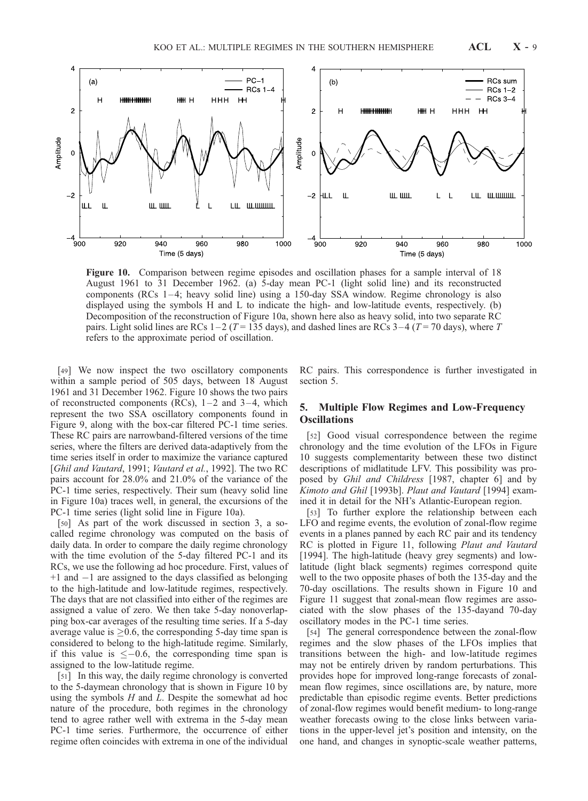

Figure 10. Comparison between regime episodes and oscillation phases for a sample interval of 18 August 1961 to 31 December 1962. (a) 5-day mean PC-1 (light solid line) and its reconstructed components (RCs 1-4; heavy solid line) using a 150-day SSA window. Regime chronology is also displayed using the symbols H and L to indicate the high- and low-latitude events, respectively. (b) Decomposition of the reconstruction of Figure 10a, shown here also as heavy solid, into two separate RC pairs. Light solid lines are RCs  $1-2$  (T = 135 days), and dashed lines are RCs  $3-4$  (T = 70 days), where T refers to the approximate period of oscillation.

[49] We now inspect the two oscillatory components within a sample period of 505 days, between 18 August 1961 and 31 December 1962. Figure 10 shows the two pairs of reconstructed components (RCs),  $1-2$  and  $3-4$ , which represent the two SSA oscillatory components found in Figure 9, along with the box-car filtered PC-1 time series. These RC pairs are narrowband-filtered versions of the time series, where the filters are derived data-adaptively from the time series itself in order to maximize the variance captured [Ghil and Vautard, 1991; Vautard et al., 1992]. The two RC pairs account for 28.0% and 21.0% of the variance of the PC-1 time series, respectively. Their sum (heavy solid line in Figure 10a) traces well, in general, the excursions of the PC-1 time series (light solid line in Figure 10a).

[50] As part of the work discussed in section 3, a socalled regime chronology was computed on the basis of daily data. In order to compare the daily regime chronology with the time evolution of the 5-day filtered PC-1 and its RCs, we use the following ad hoc procedure. First, values of  $+1$  and  $-1$  are assigned to the days classified as belonging to the high-latitude and low-latitude regimes, respectively. The days that are not classified into either of the regimes are assigned a value of zero. We then take 5-day nonoverlapping box-car averages of the resulting time series. If a 5-day average value is  $\geq 0.6$ , the corresponding 5-day time span is considered to belong to the high-latitude regime. Similarly, if this value is  $\leq -0.6$ , the corresponding time span is assigned to the low-latitude regime.

[51] In this way, the daily regime chronology is converted to the 5-daymean chronology that is shown in Figure 10 by using the symbols  $H$  and  $L$ . Despite the somewhat ad hoc nature of the procedure, both regimes in the chronology tend to agree rather well with extrema in the 5-day mean PC-1 time series. Furthermore, the occurrence of either regime often coincides with extrema in one of the individual RC pairs. This correspondence is further investigated in section 5.

# 5. Multiple Flow Regimes and Low-Frequency **Oscillations**

[52] Good visual correspondence between the regime chronology and the time evolution of the LFOs in Figure 10 suggests complementarity between these two distinct descriptions of midlatitude LFV. This possibility was proposed by Ghil and Childress [1987, chapter 6] and by Kimoto and Ghil [1993b]. Plaut and Vautard [1994] examined it in detail for the NH's Atlantic-European region.

[53] To further explore the relationship between each LFO and regime events, the evolution of zonal-flow regime events in a planes panned by each RC pair and its tendency RC is plotted in Figure 11, following Plaut and Vautard [1994]. The high-latitude (heavy grey segments) and lowlatitude (light black segments) regimes correspond quite well to the two opposite phases of both the 135-day and the 70-day oscillations. The results shown in Figure 10 and Figure 11 suggest that zonal-mean flow regimes are associated with the slow phases of the 135-dayand 70-day oscillatory modes in the PC-1 time series.

[54] The general correspondence between the zonal-flow regimes and the slow phases of the LFOs implies that transitions between the high- and low-latitude regimes may not be entirely driven by random perturbations. This provides hope for improved long-range forecasts of zonalmean flow regimes, since oscillations are, by nature, more predictable than episodic regime events. Better predictions of zonal-flow regimes would benefit medium- to long-range weather forecasts owing to the close links between variations in the upper-level jet's position and intensity, on the one hand, and changes in synoptic-scale weather patterns,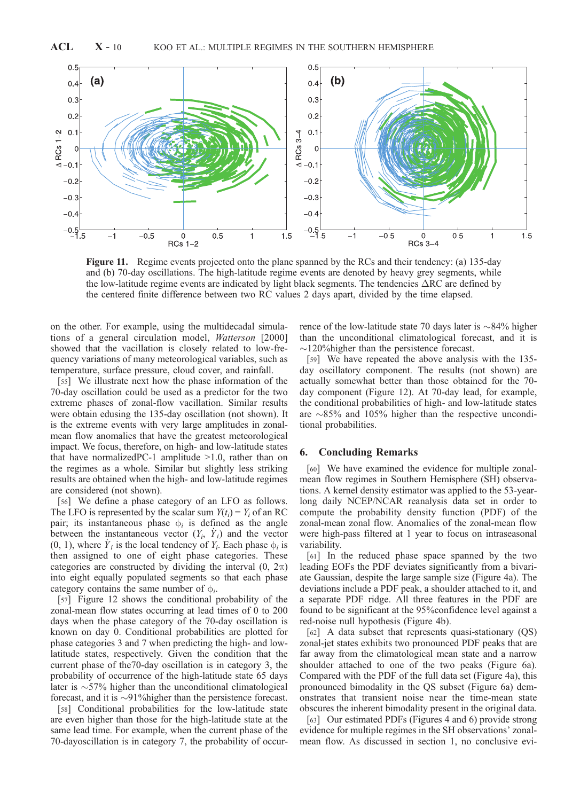

Figure 11. Regime events projected onto the plane spanned by the RCs and their tendency: (a) 135-day and (b) 70-day oscillations. The high-latitude regime events are denoted by heavy grey segments, while the low-latitude regime events are indicated by light black segments. The tendencies  $\Delta RC$  are defined by the centered finite difference between two RC values 2 days apart, divided by the time elapsed.

on the other. For example, using the multidecadal simulations of a general circulation model, Watterson [2000] showed that the vacillation is closely related to low-frequency variations of many meteorological variables, such as temperature, surface pressure, cloud cover, and rainfall.

[55] We illustrate next how the phase information of the 70-day oscillation could be used as a predictor for the two extreme phases of zonal-flow vacillation. Similar results were obtain edusing the 135-day oscillation (not shown). It is the extreme events with very large amplitudes in zonalmean flow anomalies that have the greatest meteorological impact. We focus, therefore, on high- and low-latitude states that have normalized PC-1 amplitude  $>1.0$ , rather than on the regimes as a whole. Similar but slightly less striking results are obtained when the high- and low-latitude regimes are considered (not shown).

[56] We define a phase category of an LFO as follows. The LFO is represented by the scalar sum  $Y(t_i) = Y_i$  of an RC pair; its instantaneous phase  $\phi_i$  is defined as the angle between the instantaneous vector  $(Y_i, Y_i)$  and the vector  $(0, 1)$ , where  $\dot{Y}_i$  is the local tendency of  $Y_i$ . Each phase  $\phi_i$  is then assigned to one of eight phase categories. These categories are constructed by dividing the interval  $(0, 2\pi)$ into eight equally populated segments so that each phase category contains the same number of  $\phi_i$ .

[57] Figure 12 shows the conditional probability of the zonal-mean flow states occurring at lead times of 0 to 200 days when the phase category of the 70-day oscillation is known on day 0. Conditional probabilities are plotted for phase categories 3 and 7 when predicting the high- and lowlatitude states, respectively. Given the condition that the current phase of the70-day oscillation is in category 3, the probability of occurrence of the high-latitude state 65 days later is  $\sim$  57% higher than the unconditional climatological forecast, and it is  $\sim$ 91% higher than the persistence forecast.

[58] Conditional probabilities for the low-latitude state are even higher than those for the high-latitude state at the same lead time. For example, when the current phase of the 70-dayoscillation is in category 7, the probability of occurrence of the low-latitude state 70 days later is  $\sim$ 84% higher than the unconditional climatological forecast, and it is  $\sim$ 120% higher than the persistence forecast.

[59] We have repeated the above analysis with the 135 day oscillatory component. The results (not shown) are actually somewhat better than those obtained for the 70 day component (Figure 12). At 70-day lead, for example, the conditional probabilities of high- and low-latitude states are  $\sim$ 85% and 105% higher than the respective unconditional probabilities.

## 6. Concluding Remarks

[60] We have examined the evidence for multiple zonalmean flow regimes in Southern Hemisphere (SH) observations. A kernel density estimator was applied to the 53-yearlong daily NCEP/NCAR reanalysis data set in order to compute the probability density function (PDF) of the zonal-mean zonal flow. Anomalies of the zonal-mean flow were high-pass filtered at 1 year to focus on intraseasonal variability.

[61] In the reduced phase space spanned by the two leading EOFs the PDF deviates significantly from a bivariate Gaussian, despite the large sample size (Figure 4a). The deviations include a PDF peak, a shoulder attached to it, and a separate PDF ridge. All three features in the PDF are found to be significant at the 95%confidence level against a red-noise null hypothesis (Figure 4b).

[62] A data subset that represents quasi-stationary (QS) zonal-jet states exhibits two pronounced PDF peaks that are far away from the climatological mean state and a narrow shoulder attached to one of the two peaks (Figure 6a). Compared with the PDF of the full data set (Figure 4a), this pronounced bimodality in the QS subset (Figure 6a) demonstrates that transient noise near the time-mean state obscures the inherent bimodality present in the original data.

[63] Our estimated PDFs (Figures 4 and 6) provide strong evidence for multiple regimes in the SH observations' zonalmean flow. As discussed in section 1, no conclusive evi-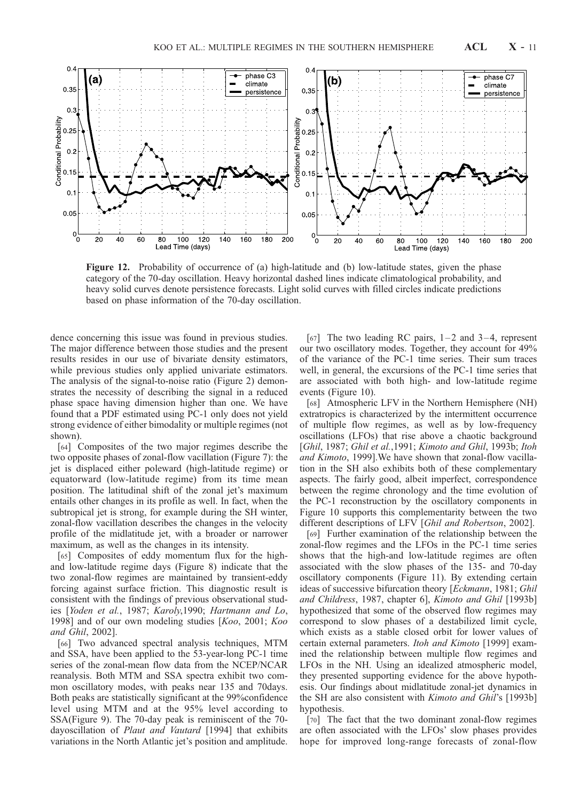

Figure 12. Probability of occurrence of (a) high-latitude and (b) low-latitude states, given the phase category of the 70-day oscillation. Heavy horizontal dashed lines indicate climatological probability, and heavy solid curves denote persistence forecasts. Light solid curves with filled circles indicate predictions based on phase information of the 70-day oscillation.

dence concerning this issue was found in previous studies. The major difference between those studies and the present results resides in our use of bivariate density estimators, while previous studies only applied univariate estimators. The analysis of the signal-to-noise ratio (Figure 2) demonstrates the necessity of describing the signal in a reduced phase space having dimension higher than one. We have found that a PDF estimated using PC-1 only does not yield strong evidence of either bimodality or multiple regimes (not shown).

Conditional Probability

[64] Composites of the two major regimes describe the two opposite phases of zonal-flow vacillation (Figure 7): the jet is displaced either poleward (high-latitude regime) or equatorward (low-latitude regime) from its time mean position. The latitudinal shift of the zonal jet's maximum entails other changes in its profile as well. In fact, when the subtropical jet is strong, for example during the SH winter, zonal-flow vacillation describes the changes in the velocity profile of the midlatitude jet, with a broader or narrower maximum, as well as the changes in its intensity.

[65] Composites of eddy momentum flux for the highand low-latitude regime days (Figure 8) indicate that the two zonal-flow regimes are maintained by transient-eddy forcing against surface friction. This diagnostic result is consistent with the findings of previous observational studies [Yoden et al., 1987; Karoly,1990; Hartmann and Lo, 1998] and of our own modeling studies [Koo, 2001; Koo and Ghil, 2002].

[66] Two advanced spectral analysis techniques, MTM and SSA, have been applied to the 53-year-long PC-1 time series of the zonal-mean flow data from the NCEP/NCAR reanalysis. Both MTM and SSA spectra exhibit two common oscillatory modes, with peaks near 135 and 70days. Both peaks are statistically significant at the 99%confidence level using MTM and at the 95% level according to SSA(Figure 9). The 70-day peak is reminiscent of the 70 dayoscillation of Plaut and Vautard [1994] that exhibits variations in the North Atlantic jet's position and amplitude.

[67] The two leading RC pairs,  $1-2$  and  $3-4$ , represent our two oscillatory modes. Together, they account for 49% of the variance of the PC-1 time series. Their sum traces well, in general, the excursions of the PC-1 time series that are associated with both high- and low-latitude regime events (Figure 10).

[68] Atmospheric LFV in the Northern Hemisphere (NH) extratropics is characterized by the intermittent occurrence of multiple flow regimes, as well as by low-frequency oscillations (LFOs) that rise above a chaotic background [Ghil, 1987; Ghil et al., 1991; Kimoto and Ghil, 1993b; Itoh and Kimoto, 1999].We have shown that zonal-flow vacillation in the SH also exhibits both of these complementary aspects. The fairly good, albeit imperfect, correspondence between the regime chronology and the time evolution of the PC-1 reconstruction by the oscillatory components in Figure 10 supports this complementarity between the two different descriptions of LFV [Ghil and Robertson, 2002].

[69] Further examination of the relationship between the zonal-flow regimes and the LFOs in the PC-1 time series shows that the high-and low-latitude regimes are often associated with the slow phases of the 135- and 70-day oscillatory components (Figure 11). By extending certain ideas of successive bifurcation theory [Eckmann, 1981; Ghil and Childress, 1987, chapter 6], Kimoto and Ghil [1993b] hypothesized that some of the observed flow regimes may correspond to slow phases of a destabilized limit cycle, which exists as a stable closed orbit for lower values of certain external parameters. Itoh and Kimoto [1999] examined the relationship between multiple flow regimes and LFOs in the NH. Using an idealized atmospheric model, they presented supporting evidence for the above hypothesis. Our findings about midlatitude zonal-jet dynamics in the SH are also consistent with *Kimoto and Ghil's* [1993b] hypothesis.

[70] The fact that the two dominant zonal-flow regimes are often associated with the LFOs' slow phases provides hope for improved long-range forecasts of zonal-flow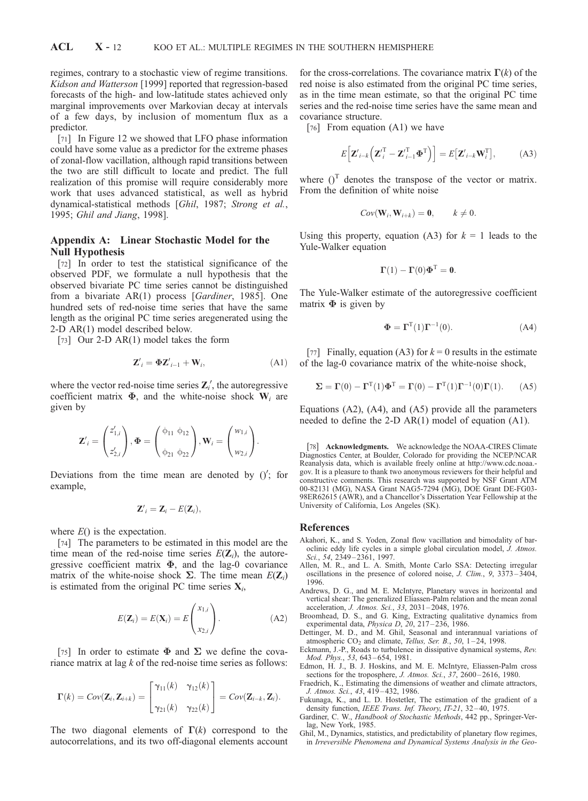regimes, contrary to a stochastic view of regime transitions. Kidson and Watterson [1999] reported that regression-based forecasts of the high- and low-latitude states achieved only marginal improvements over Markovian decay at intervals of a few days, by inclusion of momentum flux as a predictor.

[71] In Figure 12 we showed that LFO phase information could have some value as a predictor for the extreme phases of zonal-flow vacillation, although rapid transitions between the two are still difficult to locate and predict. The full realization of this promise will require considerably more work that uses advanced statistical, as well as hybrid dynamical-statistical methods [Ghil, 1987; Strong et al., 1995; Ghil and Jiang, 1998].

# Appendix A: Linear Stochastic Model for the Null Hypothesis

[72] In order to test the statistical significance of the observed PDF, we formulate a null hypothesis that the observed bivariate PC time series cannot be distinguished from a bivariate AR(1) process [Gardiner, 1985]. One hundred sets of red-noise time series that have the same length as the original PC time series aregenerated using the 2-D AR(1) model described below.

[73] Our 2-D AR(1) model takes the form

$$
\mathbf{Z}'_i = \mathbf{\Phi} \mathbf{Z}'_{i-1} + \mathbf{W}_i, \tag{A1}
$$

where the vector red-noise time series  $\mathbf{Z}'_i$ , the autoregressive coefficient matrix  $\Phi$ , and the white-noise shock  $W_i$  are given by

$$
\mathbf{Z}'_i = \begin{pmatrix} z'_{1,i} \\ z'_{2,i} \end{pmatrix}, \mathbf{\Phi} = \begin{pmatrix} \phi_{11} & \phi_{12} \\ \phi_{21} & \phi_{22} \end{pmatrix}, \mathbf{W}_i = \begin{pmatrix} w_{1,i} \\ w_{2,i} \end{pmatrix}.
$$

Deviations from the time mean are denoted by  $()'$ ; for example,

$$
\mathbf{Z}'_i = \mathbf{Z}_i - E(\mathbf{Z}_i),
$$

where  $E()$  is the expectation.

[74] The parameters to be estimated in this model are the time mean of the red-noise time series  $E(\mathbf{Z}_i)$ , the autoregressive coefficient matrix  $\Phi$ , and the lag-0 covariance matrix of the white-noise shock  $\Sigma$ . The time mean  $E(\mathbf{Z}_i)$ is estimated from the original PC time series  $X_i$ ,

$$
E(\mathbf{Z}_i) = E(\mathbf{X}_i) = E\begin{pmatrix} x_{1,i} \\ x_{2,i} \end{pmatrix}.
$$
 (A2)

[75] In order to estimate  $\Phi$  and  $\Sigma$  we define the covariance matrix at lag  $k$  of the red-noise time series as follows:

$$
\Gamma(k) = Cov(\mathbf{Z}_i, \mathbf{Z}_{i+k}) = \begin{bmatrix} \gamma_{11}(k) & \gamma_{12}(k) \\ \gamma_{21}(k) & \gamma_{22}(k) \end{bmatrix} = Cov(\mathbf{Z}_{i-k}, \mathbf{Z}_i).
$$

The two diagonal elements of  $\Gamma(k)$  correspond to the autocorrelations, and its two off-diagonal elements account

for the cross-correlations. The covariance matrix  $\Gamma(k)$  of the red noise is also estimated from the original PC time series, as in the time mean estimate, so that the original PC time series and the red-noise time series have the same mean and covariance structure.

[76] From equation (A1) we have

$$
E\left[\mathbf{Z'}_{i-k}\left(\mathbf{Z'}_{i}^{\mathrm{T}}-\mathbf{Z'}_{i-1}^{\mathrm{T}}\mathbf{\Phi}^{\mathrm{T}}\right)\right]=E\left[\mathbf{Z'}_{i-k}\mathbf{W}_{i}^{\mathrm{T}}\right],\tag{A3}
$$

where  $()^T$  denotes the transpose of the vector or matrix. From the definition of white noise

$$
Cov(\mathbf{W}_i, \mathbf{W}_{i+k}) = \mathbf{0}, \qquad k \neq 0.
$$

Using this property, equation (A3) for  $k = 1$  leads to the Yule-Walker equation

$$
\Gamma(1) - \Gamma(0)\Phi^{T} = 0.
$$

The Yule-Walker estimate of the autoregressive coefficient matrix  $\Phi$  is given by

$$
\Phi = \Gamma^{T}(1)\Gamma^{-1}(0). \tag{A4}
$$

[77] Finally, equation (A3) for  $k = 0$  results in the estimate of the lag-0 covariance matrix of the white-noise shock,

$$
\Sigma = \Gamma(0) - \Gamma^{T}(1)\Phi^{T} = \Gamma(0) - \Gamma^{T}(1)\Gamma^{-1}(0)\Gamma(1). \tag{A5}
$$

Equations (A2), (A4), and (A5) provide all the parameters needed to define the 2-D AR(1) model of equation (A1).

[78] Acknowledgments. We acknowledge the NOAA-CIRES Climate Diagnostics Center, at Boulder, Colorado for providing the NCEP/NCAR Reanalysis data, which is available freely online at http://www.cdc.noaa. gov. It is a pleasure to thank two anonymous reviewers for their helpful and constructive comments. This research was supported by NSF Grant ATM 00-82131 (MG), NASA Grant NAG5-7294 (MG), DOE Grant DE-FG03- 98ER62615 (AWR), and a Chancellor's Dissertation Year Fellowship at the University of California, Los Angeles (SK).

#### References

- Akahori, K., and S. Yoden, Zonal flow vacillation and bimodality of baroclinic eddy life cycles in a simple global circulation model, J. Atmos. Sci., 54, 2349-2361, 1997.
- Allen, M. R., and L. A. Smith, Monte Carlo SSA: Detecting irregular oscillations in the presence of colored noise, J. Clim., 9, 3373 – 3404, 1996.
- Andrews, D. G., and M. E. McIntyre, Planetary waves in horizontal and vertical shear: The generalized Eliassen-Palm relation and the mean zonal acceleration, J. Atmos. Sci., 33, 2031 – 2048, 1976.
- Broomhead, D. S., and G. King, Extracting qualitative dynamics from experimental data, *Physica D*, 20, 217-236, 1986.
- Dettinger, M. D., and M. Ghil, Seasonal and interannual variations of atmospheric  $CO<sub>2</sub>$  and climate, *Tellus, Ser. B.*, 50, 1-24, 1998.
- Eckmann, J.-P., Roads to turbulence in dissipative dynamical systems, Rev. Mod. Phys., 53, 643-654, 1981.
- Edmon, H. J., B. J. Hoskins, and M. E. McIntyre, Eliassen-Palm cross sections for the troposphere, J. Atmos. Sci., 37, 2600-2616, 1980.
- Fraedrich, K., Estimating the dimensions of weather and climate attractors, J. Atmos. Sci., 43, 419 – 432, 1986.
- Fukunaga, K., and L. D. Hostetler, The estimation of the gradient of a density function, IEEE Trans. Inf. Theory, IT-21, 32-40, 1975.
- Gardiner, C. W., Handbook of Stochastic Methods, 442 pp., Springer-Verlag, New York, 1985.
- Ghil, M., Dynamics, statistics, and predictability of planetary flow regimes, in Irreversible Phenomena and Dynamical Systems Analysis in the Geo-